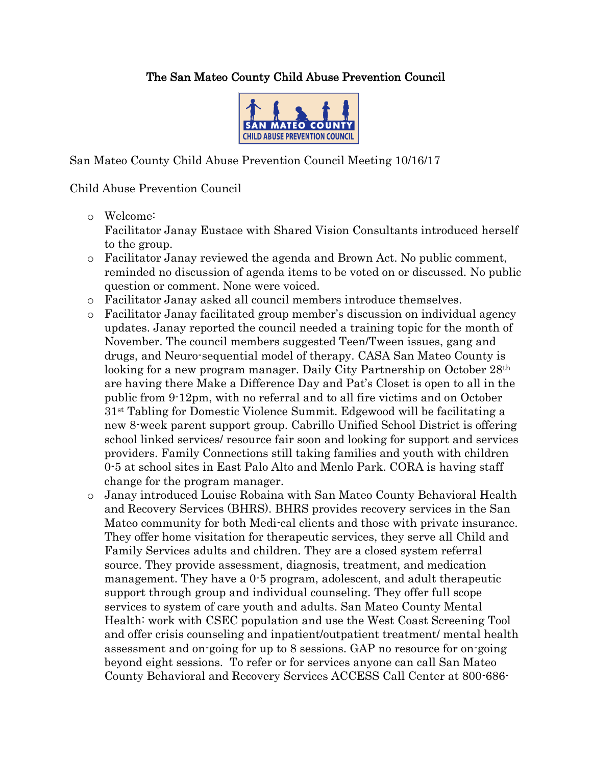## The San Mateo County Child Abuse Prevention Council



San Mateo County Child Abuse Prevention Council Meeting 10/16/17

## Child Abuse Prevention Council

o Welcome:

Facilitator Janay Eustace with Shared Vision Consultants introduced herself to the group.

- o Facilitator Janay reviewed the agenda and Brown Act. No public comment, reminded no discussion of agenda items to be voted on or discussed. No public question or comment. None were voiced.
- o Facilitator Janay asked all council members introduce themselves.
- o Facilitator Janay facilitated group member's discussion on individual agency updates. Janay reported the council needed a training topic for the month of November. The council members suggested Teen/Tween issues, gang and drugs, and Neuro-sequential model of therapy. CASA San Mateo County is looking for a new program manager. Daily City Partnership on October 28<sup>th</sup> are having there Make a Difference Day and Pat's Closet is open to all in the public from 9-12pm, with no referral and to all fire victims and on October 31st Tabling for Domestic Violence Summit. Edgewood will be facilitating a new 8-week parent support group. Cabrillo Unified School District is offering school linked services/ resource fair soon and looking for support and services providers. Family Connections still taking families and youth with children 0-5 at school sites in East Palo Alto and Menlo Park. CORA is having staff change for the program manager.
- o Janay introduced Louise Robaina with San Mateo County Behavioral Health and Recovery Services (BHRS). BHRS provides recovery services in the San Mateo community for both Medi-cal clients and those with private insurance. They offer home visitation for therapeutic services, they serve all Child and Family Services adults and children. They are a closed system referral source. They provide assessment, diagnosis, treatment, and medication management. They have a 0-5 program, adolescent, and adult therapeutic support through group and individual counseling. They offer full scope services to system of care youth and adults. San Mateo County Mental Health: work with CSEC population and use the West Coast Screening Tool and offer crisis counseling and inpatient/outpatient treatment/ mental health assessment and on-going for up to 8 sessions. GAP no resource for on-going beyond eight sessions. To refer or for services anyone can call San Mateo County Behavioral and Recovery Services ACCESS Call Center at 800-686-